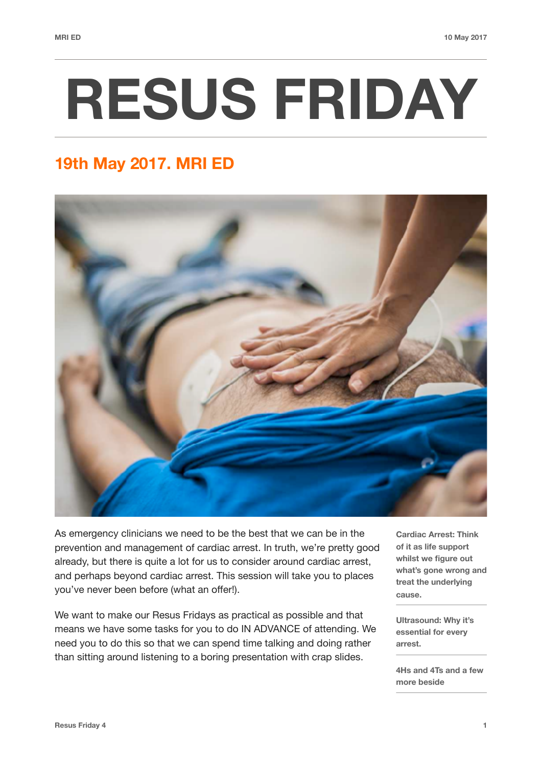## **RESUS FRIDAY**

## **19th May 2017. MRI ED**



As emergency clinicians we need to be the best that we can be in the prevention and management of cardiac arrest. In truth, we're pretty good already, but there is quite a lot for us to consider around cardiac arrest, and perhaps beyond cardiac arrest. This session will take you to places you've never been before (what an offer!).

We want to make our Resus Fridays as practical as possible and that means we have some tasks for you to do IN ADVANCE of attending. We need you to do this so that we can spend time talking and doing rather than sitting around listening to a boring presentation with crap slides.

**Cardiac Arrest: Think of it as life support whilst we figure out what's gone wrong and treat the underlying cause.** 

**Ultrasound: Why it's essential for every arrest.** 

**4Hs and 4Ts and a few more beside**